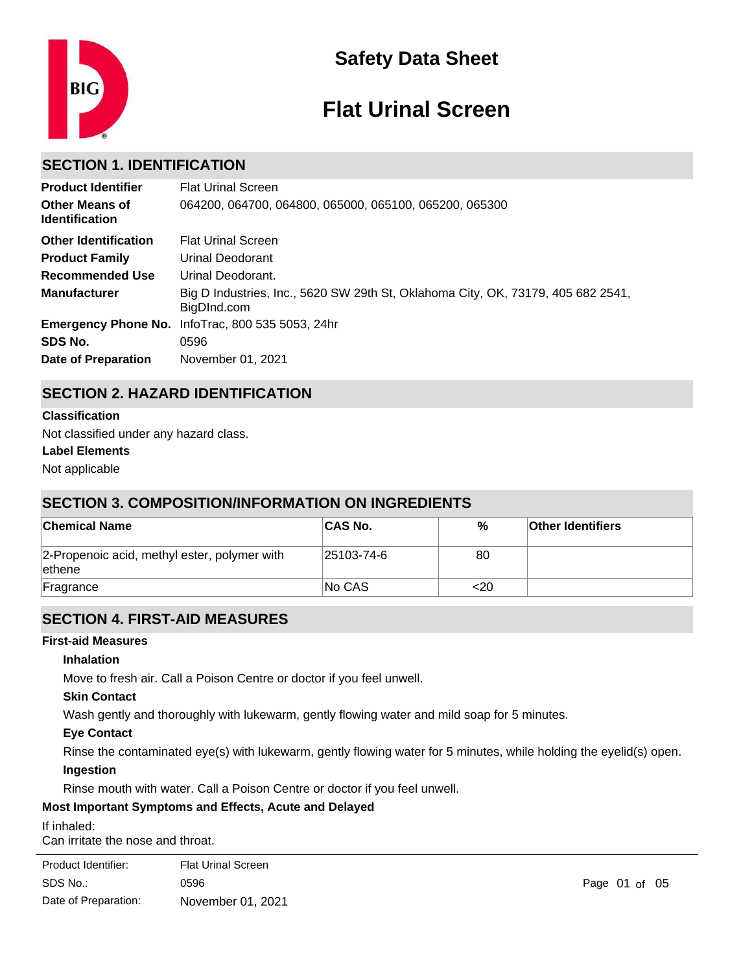

# **Safety Data Sheet**

# **Flat Urinal Screen**

# **SECTION 1. IDENTIFICATION**

| <b>Product Identifier</b>                      | <b>Flat Urinal Screen</b>                                                                       |
|------------------------------------------------|-------------------------------------------------------------------------------------------------|
| <b>Other Means of</b><br><b>Identification</b> | 064200, 064700, 064800, 065000, 065100, 065200, 065300                                          |
| <b>Other Identification</b>                    | <b>Flat Urinal Screen</b>                                                                       |
| <b>Product Family</b>                          | Urinal Deodorant                                                                                |
| Recommended Use                                | Urinal Deodorant.                                                                               |
| <b>Manufacturer</b>                            | Big D Industries, Inc., 5620 SW 29th St, Oklahoma City, OK, 73179, 405 682 2541,<br>BigDInd.com |
|                                                | Emergency Phone No. InfoTrac, 800 535 5053, 24hr                                                |
| SDS No.                                        | 0596                                                                                            |
| <b>Date of Preparation</b>                     | November 01, 2021                                                                               |

# **SECTION 2. HAZARD IDENTIFICATION**

#### **Classification**

Not classified under any hazard class.

#### **Label Elements**

Not applicable

# **SECTION 3. COMPOSITION/INFORMATION ON INGREDIENTS**

| <b>Chemical Name</b>                                    | <b>CAS No.</b> | %   | <b>Other Identifiers</b> |  |
|---------------------------------------------------------|----------------|-----|--------------------------|--|
| 2-Propenoic acid, methyl ester, polymer with<br>∣ethene | 25103-74-6     | 80  |                          |  |
| Fragrance                                               | No CAS         | <20 |                          |  |

# **SECTION 4. FIRST-AID MEASURES**

#### **First-aid Measures**

#### **Inhalation**

Move to fresh air. Call a Poison Centre or doctor if you feel unwell.

#### **Skin Contact**

Wash gently and thoroughly with lukewarm, gently flowing water and mild soap for 5 minutes.

#### **Eye Contact**

Rinse the contaminated eye(s) with lukewarm, gently flowing water for 5 minutes, while holding the eyelid(s) open. **Ingestion**

Rinse mouth with water. Call a Poison Centre or doctor if you feel unwell.

#### **Most Important Symptoms and Effects, Acute and Delayed**

#### If inhaled:

Can irritate the nose and throat.

| Product Identifier:  | <b>Flat Urinal Screen</b> |
|----------------------|---------------------------|
| SDS No.:             | 0596                      |
| Date of Preparation: | November 01, 2021         |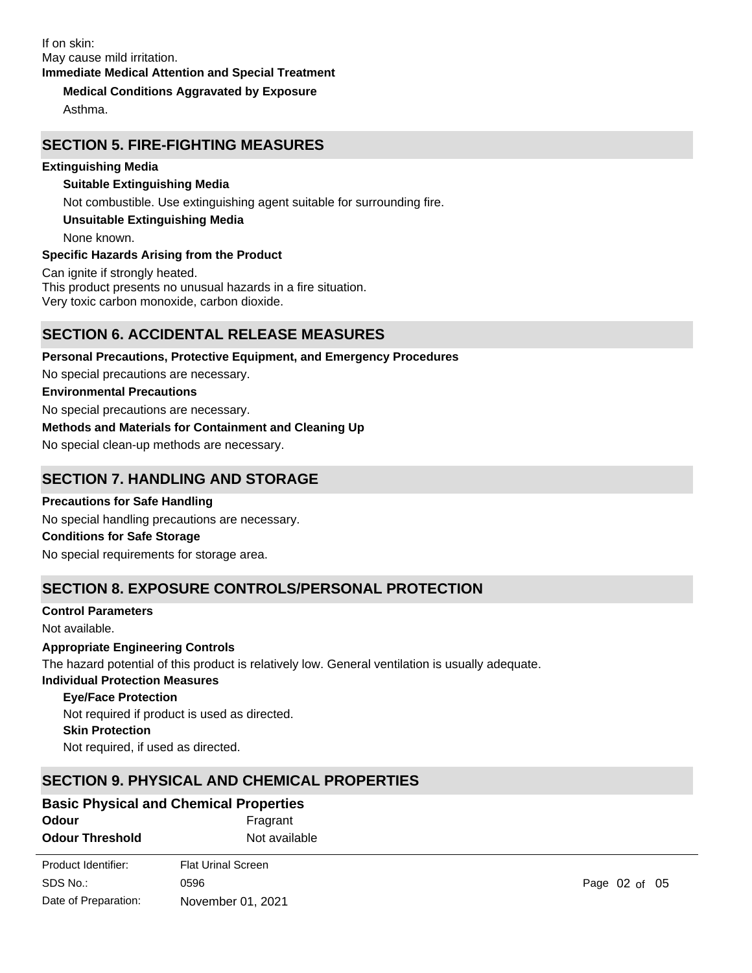#### **Medical Conditions Aggravated by Exposure**

Asthma.

# **SECTION 5. FIRE-FIGHTING MEASURES**

#### **Extinguishing Media**

#### **Suitable Extinguishing Media**

Not combustible. Use extinguishing agent suitable for surrounding fire.

**Unsuitable Extinguishing Media**

None known.

#### **Specific Hazards Arising from the Product**

Can ignite if strongly heated. This product presents no unusual hazards in a fire situation. Very toxic carbon monoxide, carbon dioxide.

# **SECTION 6. ACCIDENTAL RELEASE MEASURES**

**Personal Precautions, Protective Equipment, and Emergency Procedures** No special precautions are necessary. **Environmental Precautions** No special precautions are necessary. **Methods and Materials for Containment and Cleaning Up** No special clean-up methods are necessary. **SECTION 7. HANDLING AND STORAGE**

**Precautions for Safe Handling** No special handling precautions are necessary. **Conditions for Safe Storage**

No special requirements for storage area.

# **SECTION 8. EXPOSURE CONTROLS/PERSONAL PROTECTION**

#### **Control Parameters**

Date of Preparation:

Not available.

# **Appropriate Engineering Controls**

The hazard potential of this product is relatively low. General ventilation is usually adequate.

# **Individual Protection Measures**

**Eye/Face Protection**

**Skin Protection** Not required, if used as directed. Not required if product is used as directed.

# **SECTION 9. PHYSICAL AND CHEMICAL PROPERTIES**

November 01, 2021

| <b>Basic Physical and Chemical Properties</b> |                           |               |  |
|-----------------------------------------------|---------------------------|---------------|--|
| Odour                                         | Fragrant                  |               |  |
| <b>Odour Threshold</b>                        | Not available             |               |  |
| Product Identifier:                           | <b>Flat Urinal Screen</b> |               |  |
| SDS No.:                                      | 0596                      | Page 02 of 05 |  |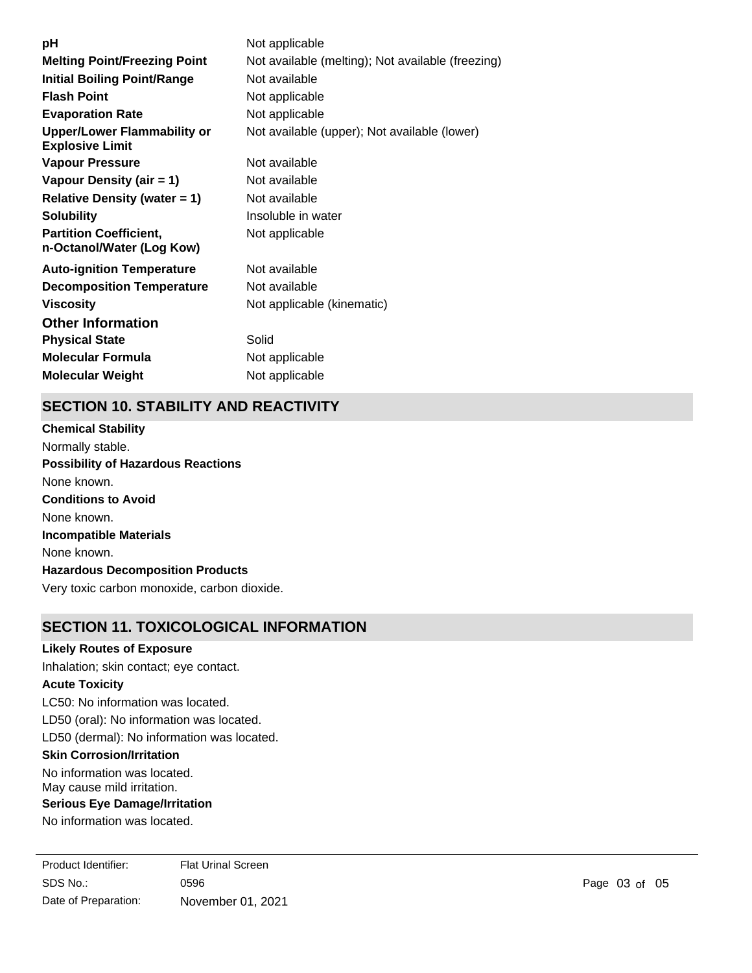| рH                                                           | Not applicable                                    |
|--------------------------------------------------------------|---------------------------------------------------|
| <b>Melting Point/Freezing Point</b>                          | Not available (melting); Not available (freezing) |
| <b>Initial Boiling Point/Range</b>                           | Not available                                     |
| <b>Flash Point</b>                                           | Not applicable                                    |
| <b>Evaporation Rate</b>                                      | Not applicable                                    |
| <b>Upper/Lower Flammability or</b><br><b>Explosive Limit</b> | Not available (upper); Not available (lower)      |
| <b>Vapour Pressure</b>                                       | Not available                                     |
| Vapour Density (air = 1)                                     | Not available                                     |
| <b>Relative Density (water = 1)</b>                          | Not available                                     |
| <b>Solubility</b>                                            | Insoluble in water                                |
| <b>Partition Coefficient,</b><br>n-Octanol/Water (Log Kow)   | Not applicable                                    |
| <b>Auto-ignition Temperature</b>                             | Not available                                     |
| <b>Decomposition Temperature</b>                             | Not available                                     |
| <b>Viscosity</b>                                             | Not applicable (kinematic)                        |
| <b>Other Information</b>                                     |                                                   |
| <b>Physical State</b>                                        | Solid                                             |
| <b>Molecular Formula</b>                                     | Not applicable                                    |
| <b>Molecular Weight</b>                                      | Not applicable                                    |

# **SECTION 10. STABILITY AND REACTIVITY**

**Chemical Stability** Normally stable. **Conditions to Avoid** None known. **Incompatible Materials** None known. **Hazardous Decomposition Products** Very toxic carbon monoxide, carbon dioxide. **Possibility of Hazardous Reactions** None known.

# **SECTION 11. TOXICOLOGICAL INFORMATION**

### **Likely Routes of Exposure**

Inhalation; skin contact; eye contact.

#### **Acute Toxicity**

LC50: No information was located.

LD50 (oral): No information was located.

LD50 (dermal): No information was located.

#### **Skin Corrosion/Irritation**

No information was located. May cause mild irritation.

#### **Serious Eye Damage/Irritation**

No information was located.

SDS No.: Date of Preparation: 0596 **Page 03 of 05** November 01, 2021 Product Identifier: Flat Urinal Screen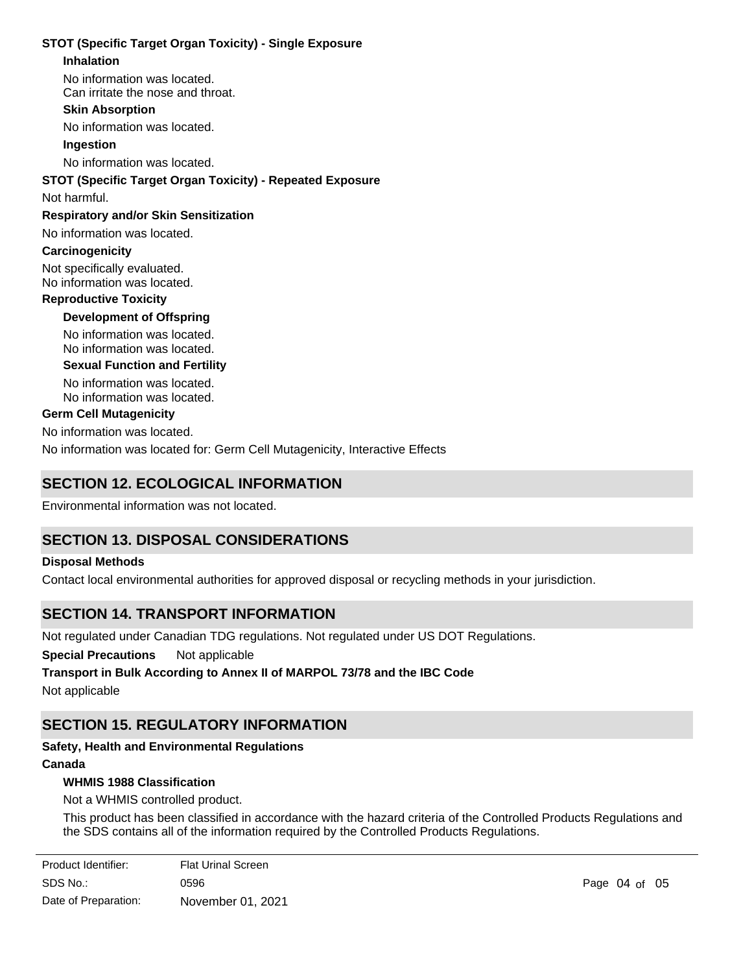#### **STOT (Specific Target Organ Toxicity) - Single Exposure**

#### **Inhalation**

No information was located.

Can irritate the nose and throat.

# **Skin Absorption**

No information was located.

#### **Ingestion**

No information was located.

#### **STOT (Specific Target Organ Toxicity) - Repeated Exposure**

#### Not harmful.

#### **Respiratory and/or Skin Sensitization**

No information was located.

#### **Carcinogenicity**

Not specifically evaluated. No information was located.

#### **Reproductive Toxicity**

**Development of Offspring**

No information was located. No information was located.

#### **Sexual Function and Fertility**

No information was located. No information was located.

#### **Germ Cell Mutagenicity**

No information was located.

No information was located for: Germ Cell Mutagenicity, Interactive Effects

# **SECTION 12. ECOLOGICAL INFORMATION**

Environmental information was not located.

# **SECTION 13. DISPOSAL CONSIDERATIONS**

#### **Disposal Methods**

Contact local environmental authorities for approved disposal or recycling methods in your jurisdiction.

# **SECTION 14. TRANSPORT INFORMATION**

Not regulated under Canadian TDG regulations. Not regulated under US DOT Regulations.

**Special Precautions** Not applicable

# **Transport in Bulk According to Annex II of MARPOL 73/78 and the IBC Code**

Not applicable

# **SECTION 15. REGULATORY INFORMATION**

# **Safety, Health and Environmental Regulations**

# **Canada**

#### **WHMIS 1988 Classification**

Not a WHMIS controlled product.

This product has been classified in accordance with the hazard criteria of the Controlled Products Regulations and the SDS contains all of the information required by the Controlled Products Regulations.